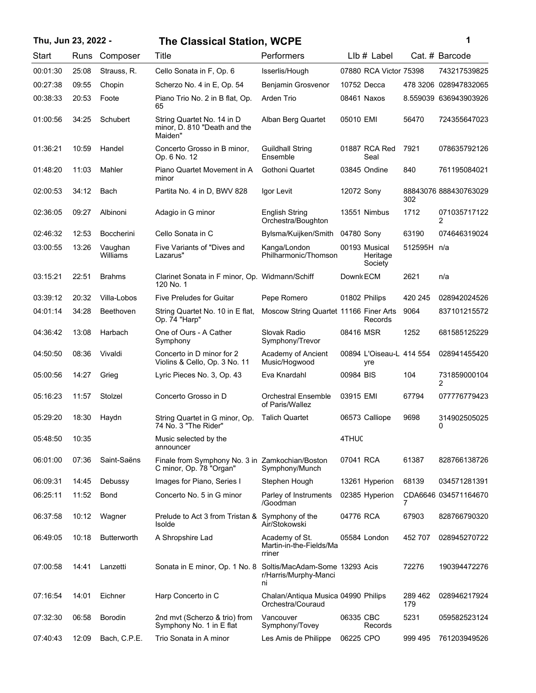# **Thu, Jun 23, 2022 - 1 The Classical Station, WCPE**

| ï<br>I |  |  |
|--------|--|--|
|        |  |  |
|        |  |  |
|        |  |  |

| Start    | Runs  | Composer            | Title                                                                      | Performers                                                    |            | LIb # Label                          |                | Cat. # Barcode        |
|----------|-------|---------------------|----------------------------------------------------------------------------|---------------------------------------------------------------|------------|--------------------------------------|----------------|-----------------------|
| 00:01:30 | 25:08 | Strauss, R.         | Cello Sonata in F, Op. 6                                                   | Isserlis/Hough                                                |            | 07880 RCA Victor 75398               |                | 743217539825          |
| 00:27:38 | 09:55 | Chopin              | Scherzo No. 4 in E, Op. 54                                                 | Benjamin Grosvenor                                            |            | 10752 Decca                          |                | 478 3206 028947832065 |
| 00:38:33 | 20:53 | Foote               | Piano Trio No. 2 in B flat, Op.<br>65                                      | Arden Trio                                                    |            | 08461 Naxos                          |                | 8.559039 636943903926 |
| 01:00:56 | 34:25 | Schubert            | String Quartet No. 14 in D<br>minor, D. 810 "Death and the<br>Maiden"      | Alban Berg Quartet                                            | 05010 EMI  |                                      | 56470          | 724355647023          |
| 01:36:21 | 10:59 | Handel              | Concerto Grosso in B minor,<br>Op. 6 No. 12                                | <b>Guildhall String</b><br>Ensemble                           |            | 01887 RCA Red<br>Seal                | 7921           | 078635792126          |
| 01:48:20 | 11:03 | Mahler              | Piano Quartet Movement in A<br>minor                                       | Gothoni Quartet                                               |            | 03845 Ondine                         | 840            | 761195084021          |
| 02:00:53 | 34:12 | Bach                | Partita No. 4 in D, BWV 828                                                | Igor Levit                                                    | 12072 Sony |                                      | 302            | 88843076 888430763029 |
| 02:36:05 | 09:27 | Albinoni            | Adagio in G minor                                                          | <b>English String</b><br>Orchestra/Boughton                   |            | 13551 Nimbus                         | 1712           | 071035717122<br>2     |
| 02:46:32 | 12:53 | <b>Boccherini</b>   | Cello Sonata in C                                                          | Bylsma/Kuijken/Smith                                          | 04780 Sony |                                      | 63190          | 074646319024          |
| 03:00:55 | 13:26 | Vaughan<br>Williams | Five Variants of "Dives and<br>Lazarus"                                    | Kanga/London<br>Philharmonic/Thomson                          |            | 00193 Musical<br>Heritage<br>Society | 512595H n/a    |                       |
| 03:15:21 | 22:51 | <b>Brahms</b>       | Clarinet Sonata in F minor, Op. Widmann/Schiff<br>120 No. 1                |                                                               | Downk ECM  |                                      | 2621           | n/a                   |
| 03:39:12 | 20:32 | Villa-Lobos         | <b>Five Preludes for Guitar</b>                                            | Pepe Romero                                                   |            | 01802 Philips                        | 420 245        | 028942024526          |
| 04:01:14 | 34:28 | Beethoven           | String Quartet No. 10 in E flat,<br>Op. 74 "Harp"                          | Moscow String Quartet 11166 Finer Arts                        |            | Records                              | 9064           | 837101215572          |
| 04:36:42 | 13:08 | Harbach             | One of Ours - A Cather<br>Symphony                                         | Slovak Radio<br>Symphony/Trevor                               | 08416 MSR  |                                      | 1252           | 681585125229          |
| 04:50:50 | 08:36 | Vivaldi             | Concerto in D minor for 2<br>Violins & Cello, Op. 3 No. 11                 | Academy of Ancient<br>Music/Hogwood                           |            | 00894 L'Oiseau-L 414 554<br>yre      |                | 028941455420          |
| 05:00:56 | 14:27 | Grieg               | Lyric Pieces No. 3, Op. 43                                                 | Eva Knardahl                                                  | 00984 BIS  |                                      | 104            | 731859000104<br>2     |
| 05:16:23 | 11:57 | Stolzel             | Concerto Grosso in D                                                       | <b>Orchestral Ensemble</b><br>of Paris/Wallez                 | 03915 EMI  |                                      | 67794          | 077776779423          |
| 05:29:20 | 18:30 | Haydn               | String Quartet in G minor, Op.<br>74 No. 3 "The Rider"                     | <b>Talich Quartet</b>                                         |            | 06573 Calliope                       | 9698           | 314902505025<br>0     |
| 05:48:50 | 10:35 |                     | Music selected by the<br>announcer                                         |                                                               | 4THUC      |                                      |                |                       |
| 06:01:00 | 07:36 | Saint-Saëns         | Finale from Symphony No. 3 in Zamkochian/Boston<br>C minor, Op. 78 "Organ" | Symphony/Munch                                                | 07041 RCA  |                                      | 61387          | 828766138726          |
| 06:09:31 | 14:45 | Debussy             | Images for Piano, Series I                                                 | Stephen Hough                                                 |            | 13261 Hyperion                       | 68139          | 034571281391          |
| 06:25:11 | 11:52 | <b>Bond</b>         | Concerto No. 5 in G minor                                                  | Parley of Instruments<br>/Goodman                             |            | 02385 Hyperion                       | 7              | CDA6646 034571164670  |
| 06:37:58 | 10:12 | Wagner              | Prelude to Act 3 from Tristan &<br>Isolde                                  | Symphony of the<br>Air/Stokowski                              | 04776 RCA  |                                      | 67903          | 828766790320          |
| 06:49:05 | 10:18 | <b>Butterworth</b>  | A Shropshire Lad                                                           | Academy of St.<br>Martin-in-the-Fields/Ma<br>rriner           |            | 05584 London                         | 452 707        | 028945270722          |
| 07:00:58 | 14:41 | Lanzetti            | Sonata in E minor, Op. 1 No. 8                                             | Soltis/MacAdam-Some 13293 Acis<br>r/Harris/Murphy-Manci<br>ni |            |                                      | 72276          | 190394472276          |
| 07:16:54 | 14:01 | Eichner             | Harp Concerto in C                                                         | Chalan/Antiqua Musica 04990 Philips<br>Orchestra/Couraud      |            |                                      | 289 462<br>179 | 028946217924          |
| 07:32:30 | 06:58 | Borodin             | 2nd mvt (Scherzo & trio) from<br>Symphony No. 1 in E flat                  | Vancouver<br>Symphony/Tovey                                   | 06335 CBC  | Records                              | 5231           | 059582523124          |
| 07:40:43 | 12:09 | Bach, C.P.E.        | Trio Sonata in A minor                                                     | Les Amis de Philippe                                          | 06225 CPO  |                                      | 999 495        | 761203949526          |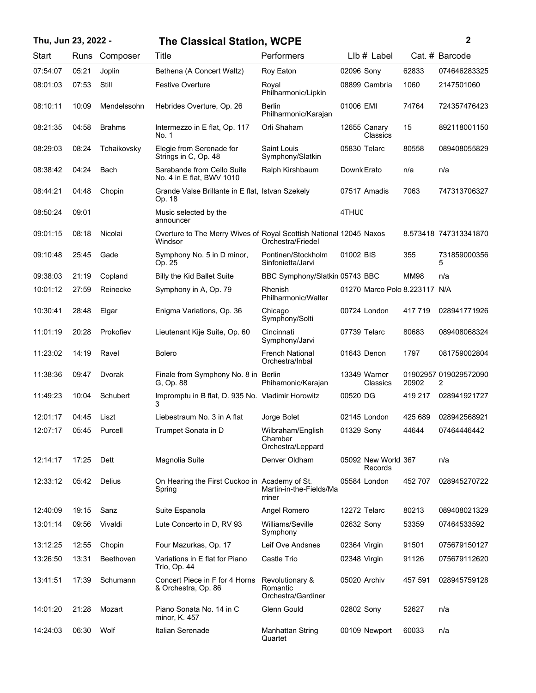# **Thu, Jun 23, 2022 - 2 The Classical Station, WCPE**

|  | i |  |
|--|---|--|
|  |   |  |
|  |   |  |

| Start    | Runs  | Composer      | Title                                                                         | Performers                                        | $Llb#$ Label                   |             | Cat. # Barcode             |
|----------|-------|---------------|-------------------------------------------------------------------------------|---------------------------------------------------|--------------------------------|-------------|----------------------------|
| 07:54:07 | 05:21 | Joplin        | Bethena (A Concert Waltz)                                                     | Roy Eaton                                         | 02096 Sony                     | 62833       | 074646283325               |
| 08:01:03 | 07:53 | Still         | <b>Festive Overture</b>                                                       | Royal<br>Philharmonic/Lipkin                      | 08899 Cambria                  | 1060        | 2147501060                 |
| 08:10:11 | 10:09 | Mendelssohn   | Hebrides Overture, Op. 26                                                     | <b>Berlin</b><br>Philharmonic/Karajan             | 01006 EMI                      | 74764       | 724357476423               |
| 08:21:35 | 04:58 | <b>Brahms</b> | Intermezzo in E flat, Op. 117<br>No. 1                                        | Orli Shaham                                       | 12655 Canary<br>Classics       | 15          | 892118001150               |
| 08:29:03 | 08:24 | Tchaikovsky   | Elegie from Serenade for<br>Strings in C, Op. 48                              | Saint Louis<br>Symphony/Slatkin                   | 05830 Telarc                   | 80558       | 089408055829               |
| 08:38:42 | 04:24 | Bach          | Sarabande from Cello Suite<br>No. 4 in E flat, BWV 1010                       | Ralph Kirshbaum                                   | Downk Erato                    | n/a         | n/a                        |
| 08:44:21 | 04:48 | Chopin        | Grande Valse Brillante in E flat, Istvan Szekely<br>Op. 18                    |                                                   | 07517 Amadis                   | 7063        | 747313706327               |
| 08:50:24 | 09:01 |               | Music selected by the<br>announcer                                            |                                                   | 4THUC                          |             |                            |
| 09:01:15 | 08:18 | Nicolai       | Overture to The Merry Wives of Royal Scottish National 12045 Naxos<br>Windsor | Orchestra/Friedel                                 |                                |             | 8.573418 747313341870      |
| 09:10:48 | 25:45 | Gade          | Symphony No. 5 in D minor,<br>Op. 25                                          | Pontinen/Stockholm<br>Sinfonietta/Jarvi           | 01002 BIS                      | 355         | 731859000356<br>5          |
| 09:38:03 | 21:19 | Copland       | <b>Billy the Kid Ballet Suite</b>                                             | BBC Symphony/Slatkin 05743 BBC                    |                                | <b>MM98</b> | n/a                        |
| 10:01:12 | 27:59 | Reinecke      | Symphony in A, Op. 79                                                         | Rhenish<br>Philharmonic/Walter                    | 01270 Marco Polo 8.223117 N/A  |             |                            |
| 10:30:41 | 28:48 | Elgar         | Enigma Variations, Op. 36                                                     | Chicago<br>Symphony/Solti                         | 00724 London                   | 417719      | 028941771926               |
| 11:01:19 | 20:28 | Prokofiev     | Lieutenant Kije Suite, Op. 60                                                 | Cincinnati<br>Symphony/Jarvi                      | 07739 Telarc                   | 80683       | 089408068324               |
| 11:23:02 | 14:19 | Ravel         | <b>Bolero</b>                                                                 | <b>French National</b><br>Orchestra/Inbal         | 01643 Denon                    | 1797        | 081759002804               |
| 11:38:36 | 09:47 | Dvorak        | Finale from Symphony No. 8 in Berlin<br>G, Op. 88                             | Phihamonic/Karajan                                | 13349 Warner<br>Classics       | 20902       | 01902957 019029572090<br>2 |
| 11:49:23 | 10:04 | Schubert      | Impromptu in B flat, D. 935 No. Vladimir Horowitz<br>3                        |                                                   | 00520 DG                       | 419 217     | 028941921727               |
| 12:01:17 | 04:45 | Liszt         | Liebestraum No. 3 in A flat                                                   | Jorge Bolet                                       | 02145 London                   | 425 689     | 028942568921               |
| 12:07:17 | 05:45 | Purcell       | Trumpet Sonata in D                                                           | Wilbraham/English<br>Chamber<br>Orchestra/Leppard | 01329 Sony                     | 44644       | 07464446442                |
| 12:14:17 | 17:25 | Dett          | Magnolia Suite                                                                | Denver Oldham                                     | 05092 New World 367<br>Records |             | n/a                        |
| 12:33:12 | 05:42 | Delius        | On Hearing the First Cuckoo in Academy of St.<br>Spring                       | Martin-in-the-Fields/Ma<br>rriner                 | 05584 London                   | 452 707     | 028945270722               |
| 12:40:09 | 19:15 | Sanz          | Suite Espanola                                                                | Angel Romero                                      | 12272 Telarc                   | 80213       | 089408021329               |
| 13:01:14 | 09:56 | Vivaldi       | Lute Concerto in D, RV 93                                                     | Williams/Seville<br>Symphony                      | 02632 Sony                     | 53359       | 07464533592                |
| 13:12:25 | 12:55 | Chopin        | Four Mazurkas, Op. 17                                                         | Leif Ove Andsnes                                  | 02364 Virgin                   | 91501       | 075679150127               |
| 13:26:50 | 13:31 | Beethoven     | Variations in E flat for Piano<br>Trio, Op. 44                                | Castle Trio                                       | 02348 Virgin                   | 91126       | 075679112620               |
| 13:41:51 | 17:39 | Schumann      | Concert Piece in F for 4 Horns<br>& Orchestra, Op. 86                         | Revolutionary &<br>Romantic<br>Orchestra/Gardiner | 05020 Archiv                   | 457 591     | 028945759128               |
| 14:01:20 | 21:28 | Mozart        | Piano Sonata No. 14 in C<br>minor, K. 457                                     | Glenn Gould                                       | 02802 Sony                     | 52627       | n/a                        |
| 14:24:03 | 06:30 | Wolf          | Italian Serenade                                                              | Manhattan String<br>Quartet                       | 00109 Newport                  | 60033       | n/a                        |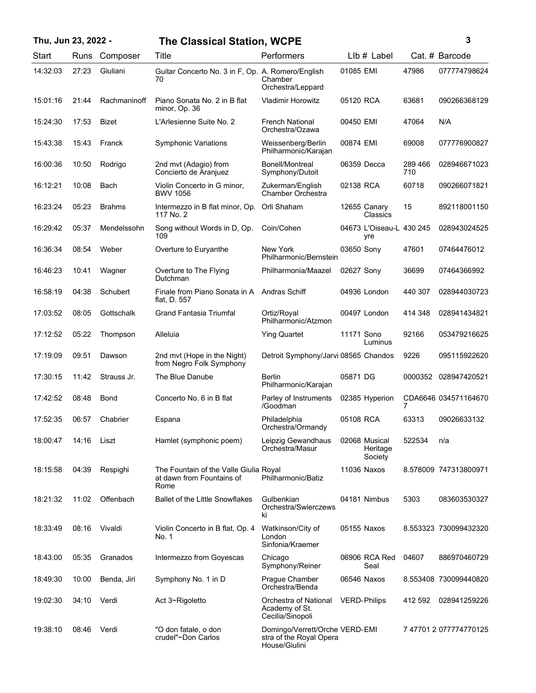# **Thu, Jun 23, 2022 - 3 The Classical Station, WCPE**

| I |
|---|

| Start    | Runs  | Composer      | Title                                                                       | Performers                                                                 |            | $Llb#$ Label                         |                | Cat. # Barcode         |
|----------|-------|---------------|-----------------------------------------------------------------------------|----------------------------------------------------------------------------|------------|--------------------------------------|----------------|------------------------|
| 14:32:03 | 27:23 | Giuliani      | Guitar Concerto No. 3 in F, Op. A. Romero/English<br>70                     | Chamber<br>Orchestra/Leppard                                               | 01085 EMI  |                                      | 47986          | 077774798624           |
| 15:01:16 | 21:44 | Rachmaninoff  | Piano Sonata No. 2 in B flat<br>minor, Op. 36                               | <b>Vladimir Horowitz</b>                                                   | 05120 RCA  |                                      | 63681          | 090266368129           |
| 15:24:30 | 17:53 | <b>Bizet</b>  | L'Arlesienne Suite No. 2                                                    | <b>French National</b><br>Orchestra/Ozawa                                  | 00450 EMI  |                                      | 47064          | N/A                    |
| 15:43:38 | 15:43 | Franck        | <b>Symphonic Variations</b>                                                 | Weissenberg/Berlin<br>Philharmonic/Karajan                                 | 00874 EMI  |                                      | 69008          | 077776900827           |
| 16:00:36 | 10:50 | Rodrigo       | 2nd mvt (Adagio) from<br>Concierto de Aranjuez                              | Bonell/Montreal<br>Symphony/Dutoit                                         |            | 06359 Decca                          | 289 466<br>710 | 028946671023           |
| 16:12:21 | 10:08 | Bach          | Violin Concerto in G minor,<br><b>BWV 1056</b>                              | Zukerman/English<br>Chamber Orchestra                                      | 02138 RCA  |                                      | 60718          | 090266071821           |
| 16:23:24 | 05:23 | <b>Brahms</b> | Intermezzo in B flat minor, Op.<br>117 No. 2                                | Orli Shaham                                                                |            | 12655 Canary<br>Classics             | 15             | 892118001150           |
| 16:29:42 | 05:37 | Mendelssohn   | Song without Words in D, Op.<br>109                                         | Coin/Cohen                                                                 |            | 04673 L'Oiseau-L 430 245<br>yre      |                | 028943024525           |
| 16:36:34 | 08:54 | Weber         | Overture to Euryanthe                                                       | New York<br>Philharmonic/Bernstein                                         | 03650 Sony |                                      | 47601          | 07464476012            |
| 16:46:23 | 10:41 | Wagner        | Overture to The Flying<br>Dutchman                                          | Philharmonia/Maazel                                                        | 02627 Sony |                                      | 36699          | 07464366992            |
| 16:58:19 | 04:38 | Schubert      | Finale from Piano Sonata in A<br>flat, D. 557                               | Andras Schiff                                                              |            | 04936 London                         | 440 307        | 028944030723           |
| 17:03:52 | 08:05 | Gottschalk    | <b>Grand Fantasia Triumfal</b>                                              | Ortiz/Royal<br>Philharmonic/Atzmon                                         |            | 00497 London                         | 414 348        | 028941434821           |
| 17:12:52 | 05:22 | Thompson      | Alleluia                                                                    | <b>Ying Quartet</b>                                                        | 11171 Sono | Luminus                              | 92166          | 053479216625           |
| 17:19:09 | 09:51 | Dawson        | 2nd mvt (Hope in the Night)<br>from Negro Folk Symphony                     | Detroit Symphony/Jarvi 08565 Chandos                                       |            |                                      | 9226           | 095115922620           |
| 17:30:15 | 11:42 | Strauss Jr.   | The Blue Danube                                                             | Berlin<br>Philharmonic/Karajan                                             | 05871 DG   |                                      | 0000352        | 028947420521           |
| 17:42:52 | 08:48 | Bond          | Concerto No. 6 in B flat                                                    | Parley of Instruments<br>/Goodman                                          |            | 02385 Hyperion                       |                | CDA6646 034571164670   |
| 17:52:35 | 06:57 | Chabrier      | Espana                                                                      | Philadelphia<br>Orchestra/Ormandy                                          | 05108 RCA  |                                      | 63313          | 09026633132            |
| 18:00:47 | 14:16 | Liszt         | Hamlet (symphonic poem)                                                     | Leipzig Gewandhaus<br>Orchestra/Masur                                      |            | 02068 Musical<br>Heritage<br>Society | 522534         | n/a                    |
| 18:15:58 | 04:39 | Respighi      | The Fountain of the Valle Giulia Royal<br>at dawn from Fountains of<br>Rome | Philharmonic/Batiz                                                         |            | 11036 Naxos                          |                | 8.578009 747313800971  |
| 18:21:32 | 11:02 | Offenbach     | <b>Ballet of the Little Snowflakes</b>                                      | Gulbenkian<br>Orchestra/Swierczews<br>ki                                   |            | 04181 Nimbus                         | 5303           | 083603530327           |
| 18:33:49 | 08:16 | Vivaldi       | Violin Concerto in B flat, Op. 4<br>No. 1                                   | Watkinson/City of<br>London<br>Sinfonia/Kraemer                            |            | 05155 Naxos                          |                | 8.553323 730099432320  |
| 18:43:00 | 05:35 | Granados      | Intermezzo from Goyescas                                                    | Chicago<br>Symphony/Reiner                                                 |            | 06906 RCA Red<br>Seal                | 04607          | 886970460729           |
| 18:49:30 | 10:00 | Benda, Jiri   | Symphony No. 1 in D                                                         | Prague Chamber<br>Orchestra/Benda                                          |            | 06546 Naxos                          |                | 8.553408 730099440820  |
| 19:02:30 | 34:10 | Verdi         | Act 3~Rigoletto                                                             | Orchestra of National<br>Academy of St.<br>Cecilia/Sinopoli                |            | <b>VERD-Philips</b>                  | 412 592        | 028941259226           |
| 19:38:10 | 08:46 | Verdi         | "O don fatale, o don<br>crudel"~Don Carlos                                  | Domingo/Verrett/Orche VERD-EMI<br>stra of the Royal Opera<br>House/Giulini |            |                                      |                | 7 47701 2 077774770125 |